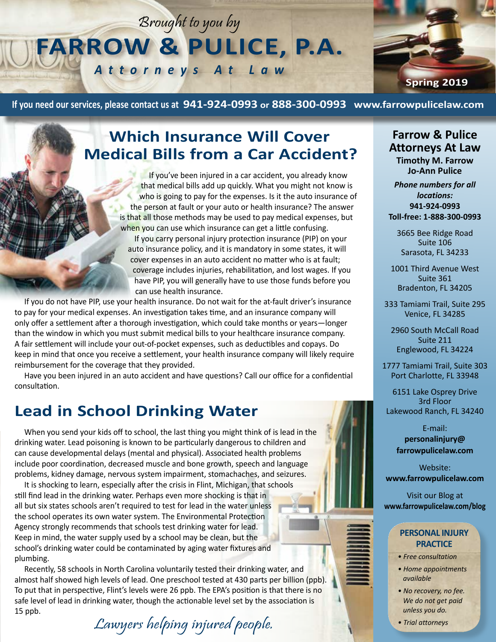Brought to you by **FARROW & PULICE, P.A.** *Attorneys At Law*



**If you need our services, please contact us at 941-924-0993 or 888-300-0993 www.farrowpulicelaw.com**

## **Which Insurance Will Cover Medical Bills from a Car Accident?**

If you've been injured in a car accident, you already know that medical bills add up quickly. What you might not know is who is going to pay for the expenses. Is it the auto insurance of the person at fault or your auto or health insurance? The answer is that all those methods may be used to pay medical expenses, but when you can use which insurance can get a little confusing. If you carry personal injury protection insurance (PIP) on your auto insurance policy, and it is mandatory in some states, it will cover expenses in an auto accident no matter who is at fault; coverage includes injuries, rehabilitation, and lost wages. If you have PIP, you will generally have to use those funds before you can use health insurance.

If you do not have PIP, use your health insurance. Do not wait for the at-fault driver's insurance to pay for your medical expenses. An investigation takes time, and an insurance company will only offer a settlement after a thorough investigation, which could take months or years—longer than the window in which you must submit medical bills to your healthcare insurance company. A fair settlement will include your out-of-pocket expenses, such as deductibles and copays. Do keep in mind that once you receive a settlement, your health insurance company will likely require reimbursement for the coverage that they provided.

Have you been injured in an auto accident and have questions? Call our office for a confidential consultation.

## **Lead in School Drinking Water**

When you send your kids off to school, the last thing you might think of is lead in the drinking water. Lead poisoning is known to be particularly dangerous to children and can cause developmental delays (mental and physical). Associated health problems include poor coordination, decreased muscle and bone growth, speech and language problems, kidney damage, nervous system impairment, stomachaches, and seizures.

It is shocking to learn, especially after the crisis in Flint, Michigan, that schools still find lead in the drinking water. Perhaps even more shocking is that in all but six states schools aren't required to test for lead in the water unless the school operates its own water system. The Environmental Protection Agency strongly recommends that schools test drinking water for lead. Keep in mind, the water supply used by a school may be clean, but the school's drinking water could be contaminated by aging water fixtures and plumbing.

Recently, 58 schools in North Carolina voluntarily tested their drinking water, and almost half showed high levels of lead. One preschool tested at 430 parts per billion (ppb). To put that in perspective, Flint's levels were 26 ppb. The EPA's position is that there is no safe level of lead in drinking water, though the actionable level set by the association is 15 ppb.

Lawyers helping injured people. *• Trial attorneys*

### **Farrow & Pulice Attorneys At Law Timothy M. Farrow Jo-Ann Pulice**

*Phone numbers for all locations:* **941-924-0993 Toll-free: 1-888-300-0993**

3665 Bee Ridge Road Suite 106 Sarasota, FL 34233

1001 Third Avenue West Suite 361 Bradenton, FL 34205

333 Tamiami Trail, Suite 295 Venice, FL 34285

2960 South McCall Road Suite 211 Englewood, FL 34224

1777 Tamiami Trail, Suite 303 Port Charlotte, FL 33948

6151 Lake Osprey Drive 3rd Floor Lakewood Ranch, FL 34240

### E-mail: **personalinjury@ farrowpulicelaw.com**

Website: **www.farrowpulicelaw.com**

Visit our Blog at **www.farrowpulicelaw.com/blog**

#### **PERSONAL INJURY PRACTICE**

- *Free consultation*
- *Home appointments available*
- *No recovery, no fee. We do not get paid unless you do.*
-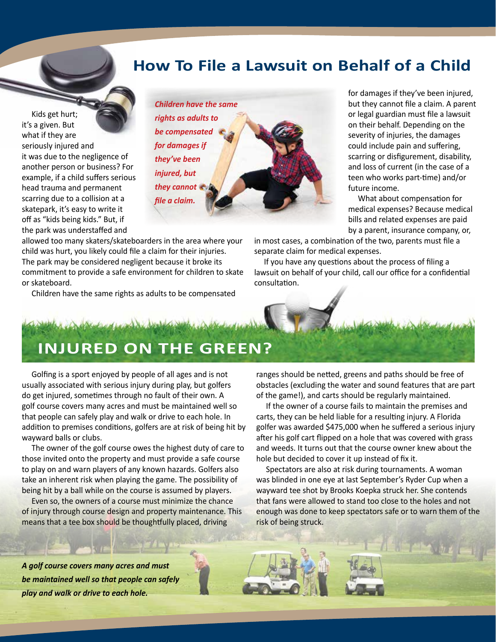## **How To File a Lawsuit on Behalf of a Child**

Kids get hurt; it's a given. But what if they are seriously injured and it was due to the negligence of another person or business? For example, if a child suffers serious head trauma and permanent scarring due to a collision at a skatepark, it's easy to write it off as "kids being kids." But, if the park was understaffed and

| <b>Children have the same</b> |
|-------------------------------|
| rights as adults to           |
| be compensated                |
| for damages if                |
| they've been                  |
| injured, but                  |
| they cannot                   |
| file a claim.                 |
|                               |

allowed too many skaters/skateboarders in the area where your child was hurt, you likely could file a claim for their injuries. The park may be considered negligent because it broke its commitment to provide a safe environment for children to skate or skateboard.

Children have the same rights as adults to be compensated

for damages if they've been injured, but they cannot file a claim. A parent or legal guardian must file a lawsuit on their behalf. Depending on the severity of injuries, the damages could include pain and suffering, scarring or disfigurement, disability, and loss of current (in the case of a teen who works part-time) and/or future income.

What about compensation for medical expenses? Because medical bills and related expenses are paid by a parent, insurance company, or,

in most cases, a combination of the two, parents must file a separate claim for medical expenses.

If you have any questions about the process of filing a lawsuit on behalf of your child, call our office for a confidential consultation.

# wardrow word in a direction with the **INJURED ON THE GREEN?**

Golfing is a sport enjoyed by people of all ages and is not usually associated with serious injury during play, but golfers do get injured, sometimes through no fault of their own. A golf course covers many acres and must be maintained well so that people can safely play and walk or drive to each hole. In addition to premises conditions, golfers are at risk of being hit by wayward balls or clubs.

The owner of the golf course owes the highest duty of care to those invited onto the property and must provide a safe course to play on and warn players of any known hazards. Golfers also take an inherent risk when playing the game. The possibility of being hit by a ball while on the course is assumed by players.

Even so, the owners of a course must minimize the chance of injury through course design and property maintenance. This means that a tee box should be thoughtfully placed, driving

ranges should be netted, greens and paths should be free of obstacles (excluding the water and sound features that are part of the game!), and carts should be regularly maintained.

If the owner of a course fails to maintain the premises and carts, they can be held liable for a resulting injury. A Florida golfer was awarded \$475,000 when he suffered a serious injury after his golf cart flipped on a hole that was covered with grass and weeds. It turns out that the course owner knew about the hole but decided to cover it up instead of fix it.

Spectators are also at risk during tournaments. A woman was blinded in one eye at last September's Ryder Cup when a wayward tee shot by Brooks Koepka struck her. She contends that fans were allowed to stand too close to the holes and not enough was done to keep spectators safe or to warn them of the risk of being struck.

*A golf course covers many acres and must be maintained well so that people can safely play and walk or drive to each hole.*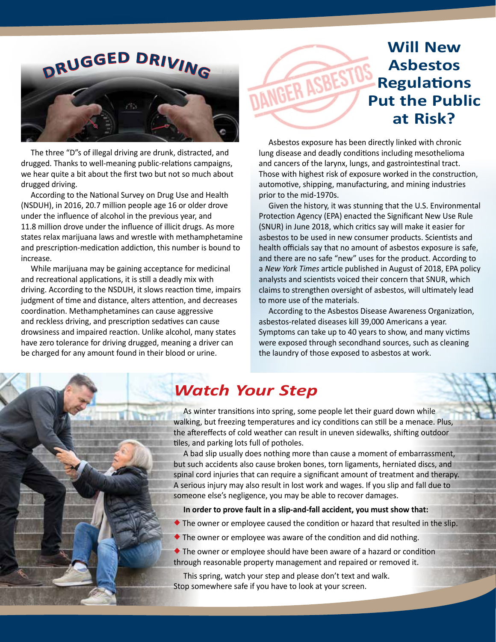# **<sup>D</sup>RUGGE<sup>D</sup> <sup>D</sup>RIVIN<sup>G</sup>**



The three "D"s of illegal driving are drunk, distracted, and drugged. Thanks to well-meaning public-relations campaigns, we hear quite a bit about the first two but not so much about drugged driving.

According to the National Survey on Drug Use and Health (NSDUH), in 2016, 20.7 million people age 16 or older drove under the influence of alcohol in the previous year, and 11.8 million drove under the influence of illicit drugs. As more states relax marijuana laws and wrestle with methamphetamine and prescription-medication addiction, this number is bound to increase.

While marijuana may be gaining acceptance for medicinal and recreational applications, it is still a deadly mix with driving. According to the NSDUH, it slows reaction time, impairs judgment of time and distance, alters attention, and decreases coordination. Methamphetamines can cause aggressive and reckless driving, and prescription sedatives can cause drowsiness and impaired reaction. Unlike alcohol, many states have zero tolerance for driving drugged, meaning a driver can be charged for any amount found in their blood or urine.

# **Will New Asbestos Regulations PANGER ASBESTUS**<br>**Put the Public Public at Risk?**

Asbestos exposure has been directly linked with chronic lung disease and deadly conditions including mesothelioma and cancers of the larynx, lungs, and gastrointestinal tract. Those with highest risk of exposure worked in the construction, automotive, shipping, manufacturing, and mining industries prior to the mid-1970s.

Given the history, it was stunning that the U.S. Environmental Protection Agency (EPA) enacted the Significant New Use Rule (SNUR) in June 2018, which critics say will make it easier for asbestos to be used in new consumer products. Scientists and health officials say that no amount of asbestos exposure is safe, and there are no safe "new" uses for the product. According to a *New York Times* article published in August of 2018, EPA policy analysts and scientists voiced their concern that SNUR, which claims to strengthen oversight of asbestos, will ultimately lead to more use of the materials.

According to the Asbestos Disease Awareness Organization, asbestos-related diseases kill 39,000 Americans a year. Symptoms can take up to 40 years to show, and many victims were exposed through secondhand sources, such as cleaning the laundry of those exposed to asbestos at work.



# *Watch Your Step*

As winter transitions into spring, some people let their guard down while walking, but freezing temperatures and icy conditions can still be a menace. Plus, the aftereffects of cold weather can result in uneven sidewalks, shifting outdoor tiles, and parking lots full of potholes.

A bad slip usually does nothing more than cause a moment of embarrassment, but such accidents also cause broken bones, torn ligaments, herniated discs, and spinal cord injuries that can require a significant amount of treatment and therapy. A serious injury may also result in lost work and wages. If you slip and fall due to someone else's negligence, you may be able to recover damages.

**In order to prove fault in a slip-and-fall accident, you must show that:** 

- The owner or employee caused the condition or hazard that resulted in the slip.
- The owner or employee was aware of the condition and did nothing.
- The owner or employee should have been aware of a hazard or condition through reasonable property management and repaired or removed it.

This spring, watch your step and please don't text and walk. Stop somewhere safe if you have to look at your screen.